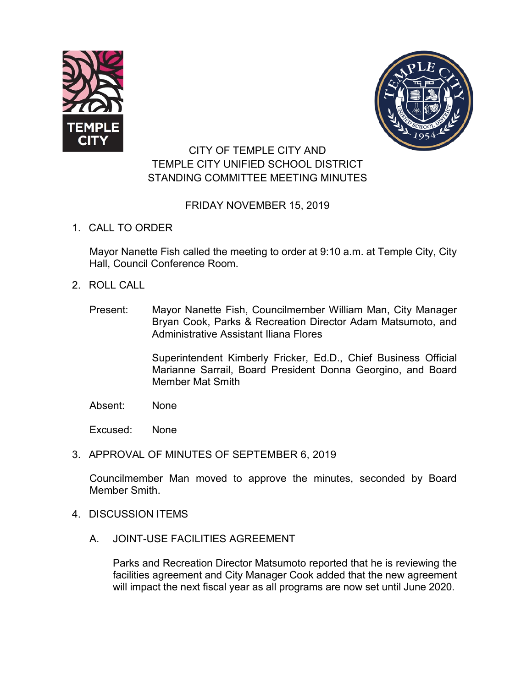



# CITY OF TEMPLE CITY AND TEMPLE CITY UNIFIED SCHOOL DISTRICT STANDING COMMITTEE MEETING MINUTES

## FRIDAY NOVEMBER 15, 2019

1. CALL TO ORDER

Mayor Nanette Fish called the meeting to order at 9:10 a.m. at Temple City, City Hall, Council Conference Room.

- 2. ROLL CALL
	- Present: Mayor Nanette Fish, Councilmember William Man, City Manager Bryan Cook, Parks & Recreation Director Adam Matsumoto, and Administrative Assistant Iliana Flores

Superintendent Kimberly Fricker, Ed.D., Chief Business Official Marianne Sarrail, Board President Donna Georgino, and Board Member Mat Smith

Absent: None

Excused: None

3. APPROVAL OF MINUTES OF SEPTEMBER 6, 2019

Councilmember Man moved to approve the minutes, seconded by Board Member Smith.

- 4. DISCUSSION ITEMS
	- A. JOINT-USE FACILITIES AGREEMENT

Parks and Recreation Director Matsumoto reported that he is reviewing the facilities agreement and City Manager Cook added that the new agreement will impact the next fiscal year as all programs are now set until June 2020.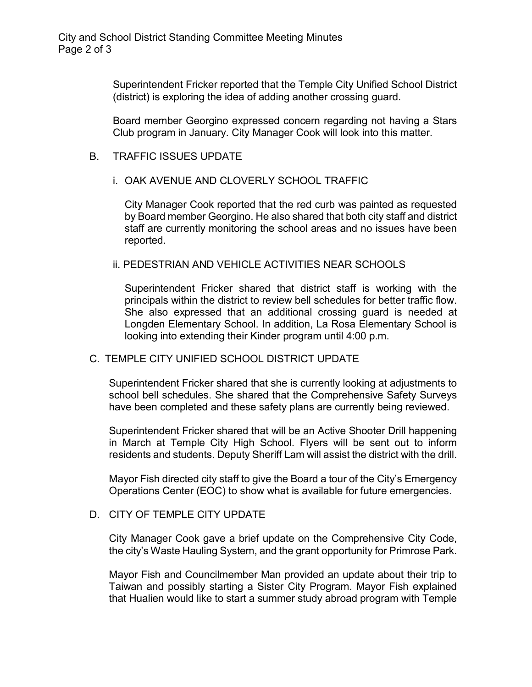Superintendent Fricker reported that the Temple City Unified School District (district) is exploring the idea of adding another crossing guard.

Board member Georgino expressed concern regarding not having a Stars Club program in January. City Manager Cook will look into this matter.

## B. TRAFFIC ISSUES UPDATE

## i. OAK AVENUE AND CLOVERLY SCHOOL TRAFFIC

City Manager Cook reported that the red curb was painted as requested by Board member Georgino. He also shared that both city staff and district staff are currently monitoring the school areas and no issues have been reported.

## ii. PEDESTRIAN AND VEHICLE ACTIVITIES NEAR SCHOOLS

Superintendent Fricker shared that district staff is working with the principals within the district to review bell schedules for better traffic flow. She also expressed that an additional crossing guard is needed at Longden Elementary School. In addition, La Rosa Elementary School is looking into extending their Kinder program until 4:00 p.m.

### C. TEMPLE CITY UNIFIED SCHOOL DISTRICT UPDATE

Superintendent Fricker shared that she is currently looking at adjustments to school bell schedules. She shared that the Comprehensive Safety Surveys have been completed and these safety plans are currently being reviewed.

Superintendent Fricker shared that will be an Active Shooter Drill happening in March at Temple City High School. Flyers will be sent out to inform residents and students. Deputy Sheriff Lam will assist the district with the drill.

Mayor Fish directed city staff to give the Board a tour of the City's Emergency Operations Center (EOC) to show what is available for future emergencies.

## D. CITY OF TEMPLE CITY UPDATE

City Manager Cook gave a brief update on the Comprehensive City Code, the city's Waste Hauling System, and the grant opportunity for Primrose Park.

Mayor Fish and Councilmember Man provided an update about their trip to Taiwan and possibly starting a Sister City Program. Mayor Fish explained that Hualien would like to start a summer study abroad program with Temple